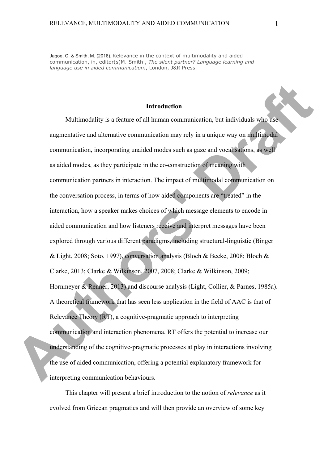Jagoe, C. & Smith, M. (2016). Relevance in the context of multimodality and aided communication, in, editor(s)M. Smith , *The silent partner? Language learning and language use in aided communication.*, London, J&R Press.

### **Introduction**

Multimodality is a feature of all human communication, but individuals who use augmentative and alternative communication may rely in a unique way on multimodal communication, incorporating unaided modes such as gaze and vocalisations, as well as aided modes, as they participate in the co-construction of meaning with communication partners in interaction. The impact of multimodal communication on the conversation process, in terms of how aided components are "treated" in the interaction, how a speaker makes choices of which message elements to encode in aided communication and how listeners receive and interpret messages have been explored through various different paradigms, including structural-linguistic (Binger & Light, 2008; Soto, 1997), conversation analysis (Bloch & Beeke, 2008; Bloch & Clarke, 2013; Clarke & Wilkinson, 2007, 2008; Clarke & Wilkinson, 2009; Hornmeyer & Renner, 2013) and discourse analysis (Light, Collier, & Parnes, 1985a). A theoretical framework that has seen less application in the field of AAC is that of Relevance Theory (RT), a cognitive-pragmatic approach to interpreting communication and interaction phenomena. RT offers the potential to increase our understanding of the cognitive-pragmatic processes at play in interactions involving the use of aided communication, offering a potential explanatory framework for interpreting communication behaviours.

This chapter will present a brief introduction to the notion of *relevance* as it evolved from Gricean pragmatics and will then provide an overview of some key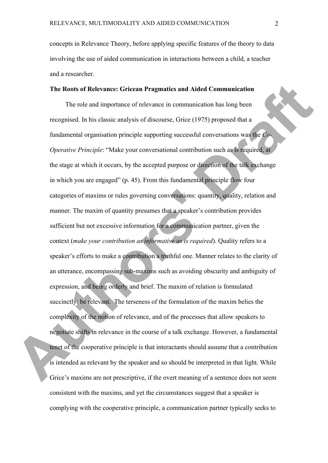concepts in Relevance Theory, before applying specific features of the theory to data involving the use of aided communication in interactions between a child, a teacher and a researcher.

## **The Roots of Relevance: Gricean Pragmatics and Aided Communication**

The role and importance of relevance in communication has long been recognised. In his classic analysis of discourse, Grice (1975) proposed that a fundamental organisation principle supporting successful conversations was the *Co-Operative Principle*: "Make your conversational contribution such as is required, at the stage at which it occurs, by the accepted purpose or direction of the talk exchange in which you are engaged" (p. 45). From this fundamental principle flow four categories of maxims or rules governing conversations: quantity, quality, relation and manner. The maxim of quantity presumes that a speaker's contribution provides sufficient but not excessive information for a communication partner, given the context (*make your contribution as informative as is required*). Quality refers to a speaker's efforts to make a contribution a truthful one. Manner relates to the clarity of an utterance, encompassing sub-maxims such as avoiding obscurity and ambiguity of expression, and being orderly and brief. The maxim of relation is formulated succinctly: be relevant. The terseness of the formulation of the maxim belies the complexity of the notion of relevance, and of the processes that allow speakers to negotiate shifts in relevance in the course of a talk exchange. However, a fundamental tenet of the cooperative principle is that interactants should assume that a contribution is intended as relevant by the speaker and so should be interpreted in that light. While Grice's maxims are not prescriptive, if the overt meaning of a sentence does not seem consistent with the maxims, and yet the circumstances suggest that a speaker is complying with the cooperative principle, a communication partner typically seeks to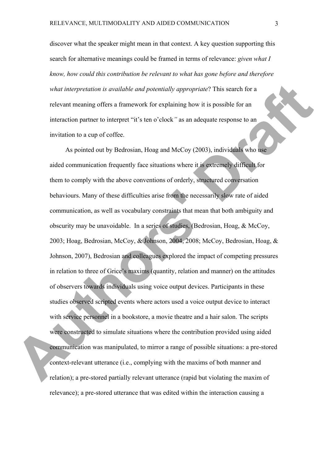discover what the speaker might mean in that context. A key question supporting this search for alternative meanings could be framed in terms of relevance: *given what I know, how could this contribution be relevant to what has gone before and therefore what interpretation is available and potentially appropriate*? This search for a relevant meaning offers a framework for explaining how it is possible for an interaction partner to interpret "it's ten o'clock*"* as an adequate response to an invitation to a cup of coffee.

As pointed out by Bedrosian, Hoag and McCoy (2003), individuals who use aided communication frequently face situations where it is extremely difficult for them to comply with the above conventions of orderly, structured conversation behaviours. Many of these difficulties arise from the necessarily slow rate of aided communication, as well as vocabulary constraints that mean that both ambiguity and obscurity may be unavoidable. In a series of studies, (Bedrosian, Hoag, & McCoy, 2003; Hoag, Bedrosian, McCoy, & Johnson, 2004, 2008; McCoy, Bedrosian, Hoag, & Johnson, 2007), Bedrosian and colleagues explored the impact of competing pressures in relation to three of Grice's maxims (quantity, relation and manner) on the attitudes of observers towards individuals using voice output devices. Participants in these studies observed scripted events where actors used a voice output device to interact with service personnel in a bookstore, a movie theatre and a hair salon. The scripts were constructed to simulate situations where the contribution provided using aided communication was manipulated, to mirror a range of possible situations: a pre-stored context-relevant utterance (i.e., complying with the maxims of both manner and relation); a pre-stored partially relevant utterance (rapid but violating the maxim of relevance); a pre-stored utterance that was edited within the interaction causing a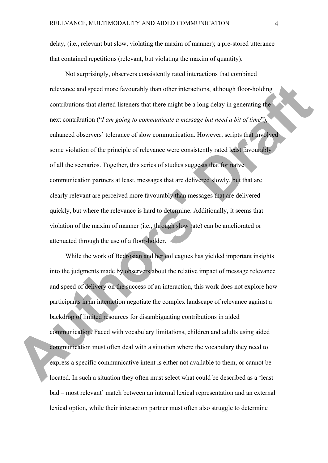delay, (i.e., relevant but slow, violating the maxim of manner); a pre-stored utterance that contained repetitions (relevant, but violating the maxim of quantity).

Not surprisingly, observers consistently rated interactions that combined relevance and speed more favourably than other interactions, although floor-holding contributions that alerted listeners that there might be a long delay in generating the next contribution ("*I am going to communicate a message but need a bit of time*"), enhanced observers' tolerance of slow communication. However, scripts that involved some violation of the principle of relevance were consistently rated least favourably of all the scenarios. Together, this series of studies suggests that for naïve communication partners at least, messages that are delivered slowly, but that are clearly relevant are perceived more favourably than messages that are delivered quickly, but where the relevance is hard to determine. Additionally, it seems that violation of the maxim of manner (i.e., through slow rate) can be ameliorated or attenuated through the use of a floor-holder.

While the work of Bedrosian and her colleagues has yielded important insights into the judgments made by observers about the relative impact of message relevance and speed of delivery on the success of an interaction, this work does not explore how participants in an interaction negotiate the complex landscape of relevance against a backdrop of limited resources for disambiguating contributions in aided communication. Faced with vocabulary limitations, children and adults using aided communication must often deal with a situation where the vocabulary they need to express a specific communicative intent is either not available to them, or cannot be located. In such a situation they often must select what could be described as a 'least bad – most relevant' match between an internal lexical representation and an external lexical option, while their interaction partner must often also struggle to determine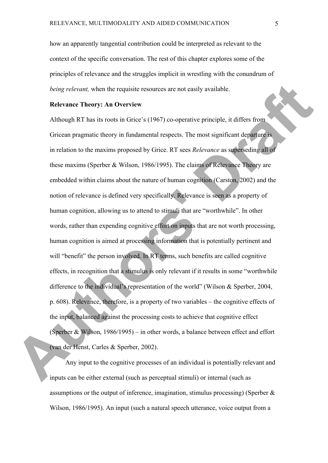how an apparently tangential contribution could be interpreted as relevant to the context of the specific conversation. The rest of this chapter explores some of the principles of relevance and the struggles implicit in wrestling with the conundrum of *being relevant,* when the requisite resources are not easily available.

#### **Relevance Theory: An Overview**

Although RT has its roots in Grice's (1967) co-operative principle, it differs from Gricean pragmatic theory in fundamental respects. The most significant departure is in relation to the maxims proposed by Grice. RT sees *Relevance* as superseding all of these maxims (Sperber & Wilson, 1986/1995). The claims of Relevance Theory are embedded within claims about the nature of human cognition (Carston, 2002) and the notion of relevance is defined very specifically. Relevance is seen as a property of human cognition, allowing us to attend to stimuli that are "worthwhile". In other words, rather than expending cognitive effort on inputs that are not worth processing, human cognition is aimed at processing information that is potentially pertinent and will "benefit" the person involved. In RT terms, such benefits are called cognitive effects, in recognition that a stimulus is only relevant if it results in some "worthwhile difference to the individual's representation of the world" (Wilson & Sperber, 2004, p. 608). Relevance, therefore, is a property of two variables – the cognitive effects of the input, balanced against the processing costs to achieve that cognitive effect (Sperber & Wilson, 1986/1995) – in other words, a balance between effect and effort (van der Henst, Carles & Sperber, 2002).

Any input to the cognitive processes of an individual is potentially relevant and inputs can be either external (such as perceptual stimuli) or internal (such as assumptions or the output of inference, imagination, stimulus processing) (Sperber & Wilson, 1986/1995). An input (such a natural speech utterance, voice output from a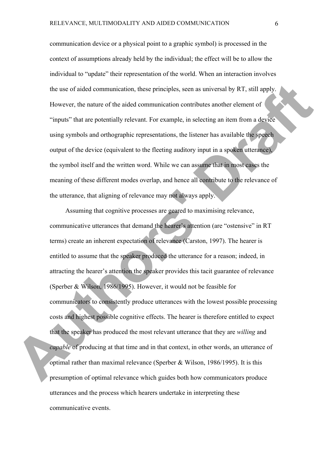communication device or a physical point to a graphic symbol) is processed in the context of assumptions already held by the individual; the effect will be to allow the individual to "update" their representation of the world. When an interaction involves the use of aided communication, these principles, seen as universal by RT, still apply. However, the nature of the aided communication contributes another element of "inputs" that are potentially relevant. For example, in selecting an item from a device using symbols and orthographic representations, the listener has available the speech output of the device (equivalent to the fleeting auditory input in a spoken utterance), the symbol itself and the written word. While we can assume that in most cases the meaning of these different modes overlap, and hence all contribute to the relevance of the utterance, that aligning of relevance may not always apply.

Assuming that cognitive processes are geared to maximising relevance, communicative utterances that demand the hearer's attention (are "ostensive" in RT terms) create an inherent expectation of relevance (Carston, 1997). The hearer is entitled to assume that the speaker produced the utterance for a reason; indeed, in attracting the hearer's attention the speaker provides this tacit guarantee of relevance (Sperber & Wilson, 1986/1995). However, it would not be feasible for communicators to consistently produce utterances with the lowest possible processing costs and highest possible cognitive effects. The hearer is therefore entitled to expect that the speaker has produced the most relevant utterance that they are *willing* and *capable* of producing at that time and in that context, in other words, an utterance of optimal rather than maximal relevance (Sperber & Wilson, 1986/1995). It is this presumption of optimal relevance which guides both how communicators produce utterances and the process which hearers undertake in interpreting these communicative events.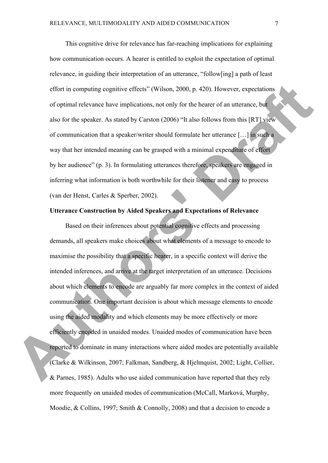This cognitive drive for relevance has far-reaching implications for explaining how communication occurs. A hearer is entitled to exploit the expectation of optimal relevance, in guiding their interpretation of an utterance, "follow[ing] a path of least effort in computing cognitive effects" (Wilson, 2000, p. 420). However, expectations of optimal relevance have implications, not only for the hearer of an utterance, but also for the speaker. As stated by Carston (2006) "It also follows from this [RT] view of communication that a speaker/writer should formulate her utterance […] in such a way that her intended meaning can be grasped with a minimal expenditure of effort by her audience" (p. 3). In formulating utterances therefore, speakers are engaged in inferring what information is both worthwhile for their listener and easy to process (van der Henst, Carles & Sperber, 2002).

### **Utterance Construction by Aided Speakers and Expectations of Relevance**

Based on their inferences about potential cognitive effects and processing demands, all speakers make choices about what elements of a message to encode to maximise the possibility that a specific hearer, in a specific context will derive the intended inferences, and arrive at the target interpretation of an utterance. Decisions about which elements to encode are arguably far more complex in the context of aided communication. One important decision is about which message elements to encode using the aided modality and which elements may be more effectively or more efficiently encoded in unaided modes. Unaided modes of communication have been reported to dominate in many interactions where aided modes are potentially available (Clarke & Wilkinson, 2007; Falkman, Sandberg, & Hjelmquist, 2002; Light, Collier, & Parnes, 1985). Adults who use aided communication have reported that they rely more frequently on unaided modes of communication (McCall, Marková, Murphy, Moodie, & Collins, 1997; Smith & Connolly, 2008) and that a decision to encode a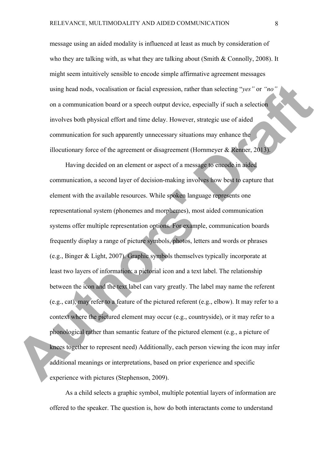message using an aided modality is influenced at least as much by consideration of who they are talking with, as what they are talking about (Smith  $&$  Connolly, 2008). It might seem intuitively sensible to encode simple affirmative agreement messages using head nods, vocalisation or facial expression, rather than selecting "*yes"* or *"no"* on a communication board or a speech output device, especially if such a selection involves both physical effort and time delay. However, strategic use of aided communication for such apparently unnecessary situations may enhance the illocutionary force of the agreement or disagreement (Hornmeyer & Renner, 2013).

Having decided on an element or aspect of a message to encode in aided communication, a second layer of decision-making involves how best to capture that element with the available resources. While spoken language represents one representational system (phonemes and morphemes), most aided communication systems offer multiple representation options. For example, communication boards frequently display a range of picture symbols, photos, letters and words or phrases (e.g., Binger & Light, 2007). Graphic symbols themselves typically incorporate at least two layers of information: a pictorial icon and a text label. The relationship between the icon and the text label can vary greatly. The label may name the referent (e.g., cat), may refer to a feature of the pictured referent (e.g., elbow). It may refer to a context where the pictured element may occur (e.g., countryside), or it may refer to a phonological rather than semantic feature of the pictured element (e.g., a picture of knees together to represent need) Additionally, each person viewing the icon may infer additional meanings or interpretations, based on prior experience and specific experience with pictures (Stephenson, 2009).

As a child selects a graphic symbol, multiple potential layers of information are offered to the speaker. The question is, how do both interactants come to understand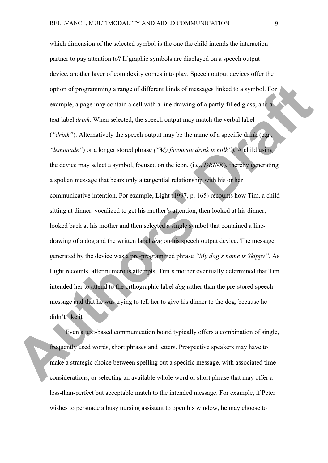which dimension of the selected symbol is the one the child intends the interaction partner to pay attention to? If graphic symbols are displayed on a speech output device, another layer of complexity comes into play. Speech output devices offer the option of programming a range of different kinds of messages linked to a symbol. For example, a page may contain a cell with a line drawing of a partly-filled glass, and a text label *drink.* When selected, the speech output may match the verbal label (*"drink"*). Alternatively the speech output may be the name of a specific drink (e.g., *"lemonade"*) or a longer stored phrase *("My favourite drink is milk"*). A child using the device may select a symbol, focused on the icon, (i.e., *DRINK*), thereby generating a spoken message that bears only a tangential relationship with his or her communicative intention. For example, Light (1997, p. 165) recounts how Tim, a child sitting at dinner, vocalized to get his mother's attention, then looked at his dinner, looked back at his mother and then selected a single symbol that contained a linedrawing of a dog and the written label *dog* on his speech output device. The message generated by the device was a pre-programmed phrase *"My dog's name is Skippy".* As Light recounts, after numerous attempts, Tim's mother eventually determined that Tim intended her to attend to the orthographic label *dog* rather than the pre-stored speech message and that he was trying to tell her to give his dinner to the dog, because he didn't like it.

Even a text-based communication board typically offers a combination of single, frequently used words, short phrases and letters. Prospective speakers may have to make a strategic choice between spelling out a specific message, with associated time considerations, or selecting an available whole word or short phrase that may offer a less-than-perfect but acceptable match to the intended message. For example, if Peter wishes to persuade a busy nursing assistant to open his window, he may choose to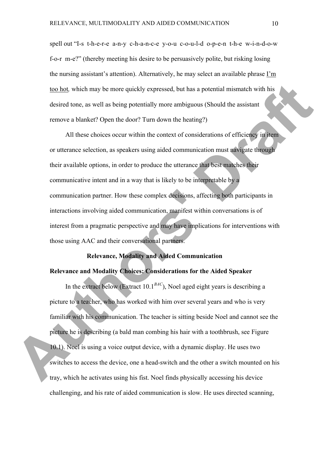spell out "I-s t-h-e-r-e a-n-y c-h-a-n-c-e y-o-u c-o-u-l-d o-p-e-n t-h-e w-i-n-d-o-w f-o-r m-e?" (thereby meeting his desire to be persuasively polite, but risking losing the nursing assistant's attention). Alternatively, he may select an available phrase I'm too hot*,* which may be more quickly expressed, but has a potential mismatch with his desired tone, as well as being potentially more ambiguous (Should the assistant remove a blanket? Open the door? Turn down the heating?)

All these choices occur within the context of considerations of efficiency in item or utterance selection, as speakers using aided communication must navigate through their available options, in order to produce the utterance that best matches their communicative intent and in a way that is likely to be interpretable by a communication partner. How these complex decisions, affecting both participants in interactions involving aided communication, manifest within conversations is of interest from a pragmatic perspective and may have implications for interventions with those using AAC and their conversational partners.

## **Relevance, Modality and Aided Communication**

### **Relevance and Modality Choices: Considerations for the Aided Speaker**

In the extract below (Extract  $10.1^{BAC}$ ), Noel aged eight years is describing a picture to a teacher, who has worked with him over several years and who is very familiar with his communication. The teacher is sitting beside Noel and cannot see the picture he is describing (a bald man combing his hair with a toothbrush, see Figure 10.1). Noel is using a voice output device, with a dynamic display. He uses two switches to access the device, one a head-switch and the other a switch mounted on his tray, which he activates using his fist. Noel finds physically accessing his device challenging, and his rate of aided communication is slow. He uses directed scanning,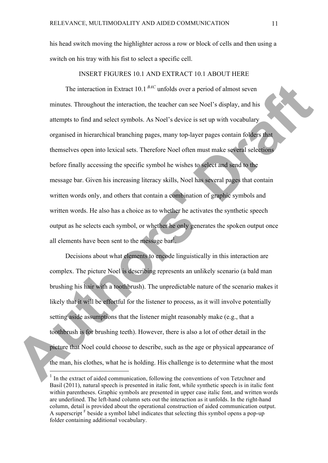his head switch moving the highlighter across a row or block of cells and then using a switch on his tray with his fist to select a specific cell.

### INSERT FIGURES 10.1 AND EXTRACT 10.1 ABOUT HERE

The interaction in Extract 10.1 *BAC* unfolds over a period of almost seven minutes. Throughout the interaction, the teacher can see Noel's display, and his attempts to find and select symbols. As Noel's device is set up with vocabulary organised in hierarchical branching pages, many top-layer pages contain folders that themselves open into lexical sets. Therefore Noel often must make several selections before finally accessing the specific symbol he wishes to select and send to the message bar. Given his increasing literacy skills, Noel has several pages that contain written words only, and others that contain a combination of graphic symbols and written words. He also has a choice as to whether he activates the synthetic speech output as he selects each symbol, or whether he only generates the spoken output once all elements have been sent to the message bar<sup>1</sup>.

Decisions about what elements to encode linguistically in this interaction are complex. The picture Noel is describing represents an unlikely scenario (a bald man brushing his hair with a toothbrush). The unpredictable nature of the scenario makes it likely that it will be effortful for the listener to process, as it will involve potentially setting aside assumptions that the listener might reasonably make (e.g., that a toothbrush is for brushing teeth). However, there is also a lot of other detail in the picture that Noel could choose to describe, such as the age or physical appearance of the man, his clothes, what he is holding. His challenge is to determine what the most

 <sup>1</sup> In the extract of aided communication, following the conventions of von Tetzchner and Basil (2011), natural speech is presented in italic font, while synthetic speech is in italic font within parentheses. Graphic symbols are presented in upper case italic font, and written words are underlined. The left-hand column sets out the interaction as it unfolds. In the right-hand column, detail is provided about the operational construction of aided communication output. A superscript  $F$  beside a symbol label indicates that selecting this symbol opens a pop-up folder containing additional vocabulary.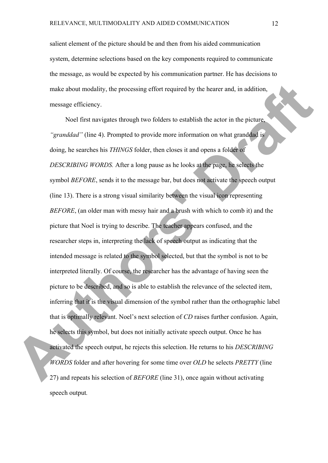salient element of the picture should be and then from his aided communication system, determine selections based on the key components required to communicate the message, as would be expected by his communication partner. He has decisions to make about modality, the processing effort required by the hearer and, in addition, message efficiency.

Noel first navigates through two folders to establish the actor in the picture, *"granddad"* (line 4). Prompted to provide more information on what granddad is doing, he searches his *THINGS* folder, then closes it and opens a folder of *DESCRIBING WORDS.* After a long pause as he looks at the page, he selects the symbol *BEFORE*, sends it to the message bar, but does not activate the speech output (line 13). There is a strong visual similarity between the visual icon representing *BEFORE*, (an older man with messy hair and a brush with which to comb it) and the picture that Noel is trying to describe. The teacher appears confused, and the researcher steps in, interpreting the lack of speech output as indicating that the intended message is related to the symbol selected, but that the symbol is not to be interpreted literally. Of course, the researcher has the advantage of having seen the picture to be described, and so is able to establish the relevance of the selected item, inferring that it is the visual dimension of the symbol rather than the orthographic label that is optimally relevant. Noel's next selection of *CD* raises further confusion. Again, he selects this symbol, but does not initially activate speech output. Once he has activated the speech output, he rejects this selection. He returns to his *DESCRIBING WORDS* folder and after hovering for some time over *OLD* he selects *PRETTY* (line 27) and repeats his selection of *BEFORE* (line 31), once again without activating speech output*.*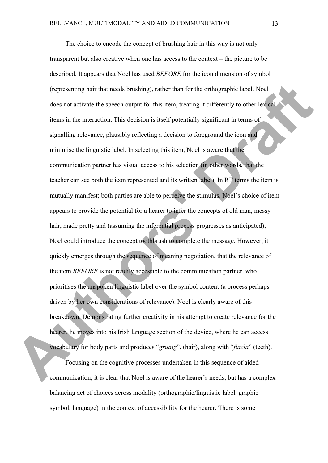The choice to encode the concept of brushing hair in this way is not only transparent but also creative when one has access to the context – the picture to be described. It appears that Noel has used *BEFORE* for the icon dimension of symbol (representing hair that needs brushing), rather than for the orthographic label. Noel does not activate the speech output for this item, treating it differently to other lexical items in the interaction. This decision is itself potentially significant in terms of signalling relevance, plausibly reflecting a decision to foreground the icon and minimise the linguistic label. In selecting this item, Noel is aware that the communication partner has visual access to his selection (in other words, that the teacher can see both the icon represented and its written label). In RT terms the item is mutually manifest; both parties are able to perceive the stimulus. Noel's choice of item appears to provide the potential for a hearer to infer the concepts of old man, messy hair, made pretty and (assuming the inferential process progresses as anticipated), Noel could introduce the concept toothbrush to complete the message. However, it quickly emerges through the sequence of meaning negotiation, that the relevance of the item *BEFORE* is not readily accessible to the communication partner, who prioritises the unspoken linguistic label over the symbol content (a process perhaps driven by her own considerations of relevance). Noel is clearly aware of this breakdown. Demonstrating further creativity in his attempt to create relevance for the hearer, he moves into his Irish language section of the device, where he can access vocabulary for body parts and produces "*gruaig*", (hair), along with "*fiacla*" (teeth).

Focusing on the cognitive processes undertaken in this sequence of aided communication, it is clear that Noel is aware of the hearer's needs, but has a complex balancing act of choices across modality (orthographic/linguistic label, graphic symbol, language) in the context of accessibility for the hearer. There is some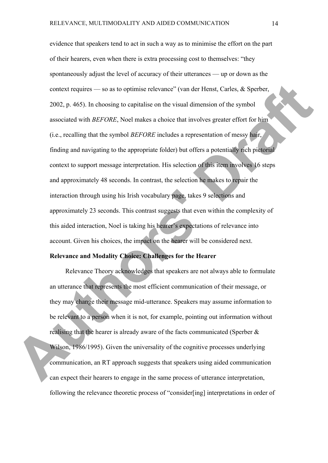evidence that speakers tend to act in such a way as to minimise the effort on the part of their hearers, even when there is extra processing cost to themselves: "they spontaneously adjust the level of accuracy of their utterances — up or down as the context requires — so as to optimise relevance" (van der Henst, Carles, & Sperber, 2002, p. 465). In choosing to capitalise on the visual dimension of the symbol associated with *BEFORE*, Noel makes a choice that involves greater effort for him (i.e., recalling that the symbol *BEFORE* includes a representation of messy hair, finding and navigating to the appropriate folder) but offers a potentially rich pictorial context to support message interpretation. His selection of this item involves 16 steps and approximately 48 seconds. In contrast, the selection he makes to repair the interaction through using his Irish vocabulary page, takes 9 selections and approximately 23 seconds. This contrast suggests that even within the complexity of this aided interaction, Noel is taking his hearer's expectations of relevance into account. Given his choices, the impact on the hearer will be considered next.

## **Relevance and Modality Choice: Challenges for the Hearer**

Relevance Theory acknowledges that speakers are not always able to formulate an utterance that represents the most efficient communication of their message, or they may change their message mid-utterance. Speakers may assume information to be relevant to a person when it is not, for example, pointing out information without realising that the hearer is already aware of the facts communicated (Sperber & Wilson, 1986/1995). Given the universality of the cognitive processes underlying communication, an RT approach suggests that speakers using aided communication can expect their hearers to engage in the same process of utterance interpretation, following the relevance theoretic process of "consider[ing] interpretations in order of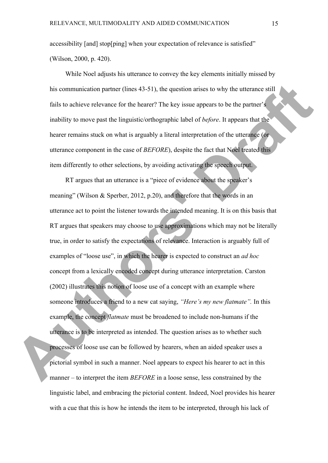accessibility [and] stop[ping] when your expectation of relevance is satisfied" (Wilson, 2000, p. 420).

While Noel adjusts his utterance to convey the key elements initially missed by his communication partner (lines 43-51), the question arises to why the utterance still fails to achieve relevance for the hearer? The key issue appears to be the partner's inability to move past the linguistic/orthographic label of *before*. It appears that the hearer remains stuck on what is arguably a literal interpretation of the utterance (or utterance component in the case of *BEFORE*), despite the fact that Noel treated this item differently to other selections, by avoiding activating the speech output.

RT argues that an utterance is a "piece of evidence about the speaker's meaning" (Wilson & Sperber, 2012, p.20), and therefore that the words in an utterance act to point the listener towards the intended meaning. It is on this basis that RT argues that speakers may choose to use approximations which may not be literally true, in order to satisfy the expectations of relevance. Interaction is arguably full of examples of "loose use", in which the hearer is expected to construct an *ad hoc* concept from a lexically encoded concept during utterance interpretation. Carston (2002) illustrates this notion of loose use of a concept with an example where someone introduces a friend to a new cat saying, *"Here's my new flatmate".* In this example, the concept *flatmate* must be broadened to include non-humans if the utterance is to be interpreted as intended. The question arises as to whether such processes of loose use can be followed by hearers, when an aided speaker uses a pictorial symbol in such a manner. Noel appears to expect his hearer to act in this manner – to interpret the item *BEFORE* in a loose sense, less constrained by the linguistic label, and embracing the pictorial content. Indeed, Noel provides his hearer with a cue that this is how he intends the item to be interpreted, through his lack of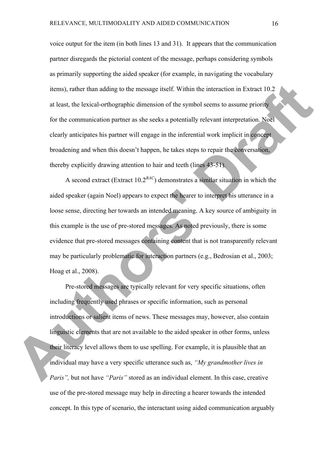voice output for the item (in both lines 13 and 31). It appears that the communication partner disregards the pictorial content of the message, perhaps considering symbols as primarily supporting the aided speaker (for example, in navigating the vocabulary items), rather than adding to the message itself. Within the interaction in Extract 10.2 at least, the lexical-orthographic dimension of the symbol seems to assume priority for the communication partner as she seeks a potentially relevant interpretation. Noel clearly anticipates his partner will engage in the inferential work implicit in concept broadening and when this doesn't happen, he takes steps to repair the conversation, thereby explicitly drawing attention to hair and teeth (lines 43-51).

A second extract (Extract 10.2*BAC*) demonstrates a similar situation in which the aided speaker (again Noel) appears to expect the hearer to interpret his utterance in a loose sense, directing her towards an intended meaning. A key source of ambiguity in this example is the use of pre-stored messages. As noted previously, there is some evidence that pre-stored messages containing content that is not transparently relevant may be particularly problematic for interaction partners (e.g., Bedrosian et al., 2003; Hoag et al., 2008).

Pre-stored messages are typically relevant for very specific situations, often including frequently used phrases or specific information, such as personal introductions or salient items of news. These messages may, however, also contain linguistic elements that are not available to the aided speaker in other forms, unless their literacy level allows them to use spelling. For example, it is plausible that an individual may have a very specific utterance such as, *"My grandmother lives in Paris"*, but not have *"Paris"* stored as an individual element. In this case, creative use of the pre-stored message may help in directing a hearer towards the intended concept. In this type of scenario, the interactant using aided communication arguably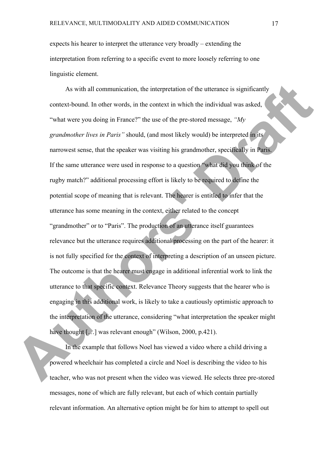expects his hearer to interpret the utterance very broadly – extending the interpretation from referring to a specific event to more loosely referring to one linguistic element.

As with all communication, the interpretation of the utterance is significantly context-bound. In other words, in the context in which the individual was asked, "what were you doing in France?" the use of the pre-stored message, *"My grandmother lives in Paris"* should, (and most likely would) be interpreted in its narrowest sense, that the speaker was visiting his grandmother, specifically in Paris. If the same utterance were used in response to a question "what did you think of the rugby match?" additional processing effort is likely to be required to define the potential scope of meaning that is relevant. The hearer is entitled to infer that the utterance has some meaning in the context, either related to the concept "grandmother" or to "Paris". The production of an utterance itself guarantees relevance but the utterance requires additional processing on the part of the hearer: it is not fully specified for the context of interpreting a description of an unseen picture. The outcome is that the hearer must engage in additional inferential work to link the utterance to that specific context. Relevance Theory suggests that the hearer who is engaging in this additional work, is likely to take a cautiously optimistic approach to the interpretation of the utterance, considering "what interpretation the speaker might have thought [...] was relevant enough" (Wilson, 2000, p.421).

In the example that follows Noel has viewed a video where a child driving a powered wheelchair has completed a circle and Noel is describing the video to his teacher, who was not present when the video was viewed. He selects three pre-stored messages, none of which are fully relevant, but each of which contain partially relevant information. An alternative option might be for him to attempt to spell out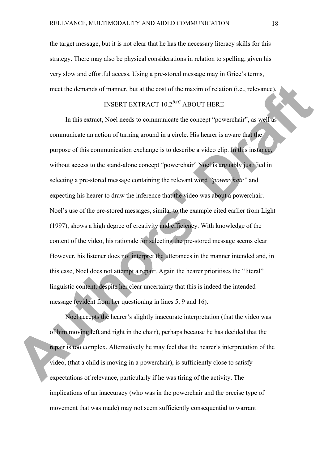the target message, but it is not clear that he has the necessary literacy skills for this strategy. There may also be physical considerations in relation to spelling, given his very slow and effortful access. Using a pre-stored message may in Grice's terms, meet the demands of manner, but at the cost of the maxim of relation (i.e., relevance).

# INSERT EXTRACT 10.2*BAC* ABOUT HERE

In this extract, Noel needs to communicate the concept "powerchair", as well as communicate an action of turning around in a circle. His hearer is aware that the purpose of this communication exchange is to describe a video clip. In this instance, without access to the stand-alone concept "powerchair" Noel is arguably justified in selecting a pre-stored message containing the relevant word *"powerchair"* and expecting his hearer to draw the inference that the video was about a powerchair. Noel's use of the pre-stored messages, similar to the example cited earlier from Light (1997), shows a high degree of creativity and efficiency. With knowledge of the content of the video, his rationale for selecting the pre-stored message seems clear. However, his listener does not interpret the utterances in the manner intended and, in this case, Noel does not attempt a repair. Again the hearer prioritises the "literal" linguistic content, despite her clear uncertainty that this is indeed the intended message (evident from her questioning in lines 5, 9 and 16).

Noel accepts the hearer's slightly inaccurate interpretation (that the video was of him moving left and right in the chair), perhaps because he has decided that the repair is too complex. Alternatively he may feel that the hearer's interpretation of the video, (that a child is moving in a powerchair), is sufficiently close to satisfy expectations of relevance, particularly if he was tiring of the activity. The implications of an inaccuracy (who was in the powerchair and the precise type of movement that was made) may not seem sufficiently consequential to warrant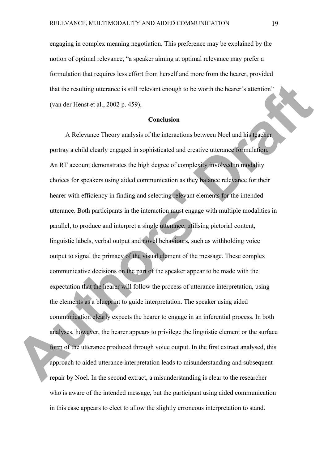engaging in complex meaning negotiation. This preference may be explained by the notion of optimal relevance, "a speaker aiming at optimal relevance may prefer a formulation that requires less effort from herself and more from the hearer, provided that the resulting utterance is still relevant enough to be worth the hearer's attention" (van der Henst et al., 2002 p. 459).

### **Conclusion**

A Relevance Theory analysis of the interactions between Noel and his teacher portray a child clearly engaged in sophisticated and creative utterance formulation. An RT account demonstrates the high degree of complexity involved in modality choices for speakers using aided communication as they balance relevance for their hearer with efficiency in finding and selecting relevant elements for the intended utterance. Both participants in the interaction must engage with multiple modalities in parallel, to produce and interpret a single utterance, utilising pictorial content, linguistic labels, verbal output and novel behaviours, such as withholding voice output to signal the primacy of the visual element of the message. These complex communicative decisions on the part of the speaker appear to be made with the expectation that the hearer will follow the process of utterance interpretation, using the elements as a blueprint to guide interpretation. The speaker using aided communication clearly expects the hearer to engage in an inferential process. In both analyses, however, the hearer appears to privilege the linguistic element or the surface form of the utterance produced through voice output. In the first extract analysed, this approach to aided utterance interpretation leads to misunderstanding and subsequent repair by Noel. In the second extract, a misunderstanding is clear to the researcher who is aware of the intended message, but the participant using aided communication in this case appears to elect to allow the slightly erroneous interpretation to stand.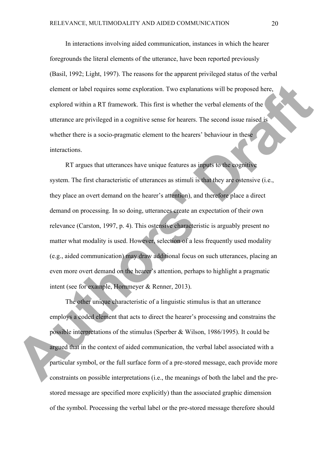In interactions involving aided communication, instances in which the hearer foregrounds the literal elements of the utterance, have been reported previously (Basil, 1992; Light, 1997). The reasons for the apparent privileged status of the verbal element or label requires some exploration. Two explanations will be proposed here, explored within a RT framework. This first is whether the verbal elements of the utterance are privileged in a cognitive sense for hearers. The second issue raised is whether there is a socio-pragmatic element to the hearers' behaviour in these interactions.

RT argues that utterances have unique features as inputs to the cognitive system. The first characteristic of utterances as stimuli is that they are ostensive (i.e., they place an overt demand on the hearer's attention), and therefore place a direct demand on processing. In so doing, utterances create an expectation of their own relevance (Carston, 1997, p. 4). This ostensive characteristic is arguably present no matter what modality is used. However, selection of a less frequently used modality (e.g., aided communication) may draw additional focus on such utterances, placing an even more overt demand on the hearer's attention, perhaps to highlight a pragmatic intent (see for example, Hornmeyer & Renner, 2013).

The other unique characteristic of a linguistic stimulus is that an utterance employs a coded element that acts to direct the hearer's processing and constrains the possible interpretations of the stimulus (Sperber & Wilson, 1986/1995). It could be argued that in the context of aided communication, the verbal label associated with a particular symbol, or the full surface form of a pre-stored message, each provide more constraints on possible interpretations (i.e., the meanings of both the label and the prestored message are specified more explicitly) than the associated graphic dimension of the symbol. Processing the verbal label or the pre-stored message therefore should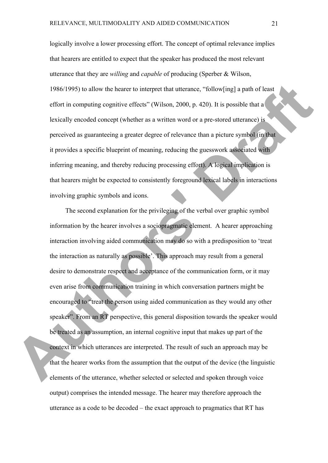logically involve a lower processing effort. The concept of optimal relevance implies that hearers are entitled to expect that the speaker has produced the most relevant utterance that they are *willing* and *capable* of producing (Sperber & Wilson, 1986/1995) to allow the hearer to interpret that utterance, "follow[ing] a path of least effort in computing cognitive effects" (Wilson, 2000, p. 420). It is possible that a lexically encoded concept (whether as a written word or a pre-stored utterance) is perceived as guaranteeing a greater degree of relevance than a picture symbol (in that it provides a specific blueprint of meaning, reducing the guesswork associated with inferring meaning, and thereby reducing processing effort). A logical implication is that hearers might be expected to consistently foreground lexical labels in interactions involving graphic symbols and icons.

The second explanation for the privileging of the verbal over graphic symbol information by the hearer involves a sociopragmatic element. A hearer approaching interaction involving aided communication may do so with a predisposition to 'treat the interaction as naturally as possible'. This approach may result from a general desire to demonstrate respect and acceptance of the communication form, or it may even arise from communication training in which conversation partners might be encouraged to "treat the person using aided communication as they would any other speaker". From an RT perspective, this general disposition towards the speaker would be treated as an assumption, an internal cognitive input that makes up part of the context in which utterances are interpreted. The result of such an approach may be that the hearer works from the assumption that the output of the device (the linguistic elements of the utterance, whether selected or selected and spoken through voice output) comprises the intended message. The hearer may therefore approach the utterance as a code to be decoded – the exact approach to pragmatics that RT has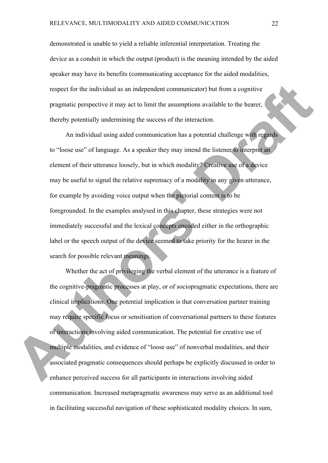demonstrated is unable to yield a reliable inferential interpretation. Treating the device as a conduit in which the output (product) is the meaning intended by the aided speaker may have its benefits (communicating acceptance for the aided modalities, respect for the individual as an independent communicator) but from a cognitive pragmatic perspective it may act to limit the assumptions available to the hearer, thereby potentially undermining the success of the interaction.

An individual using aided communication has a potential challenge with regards to "loose use" of language. As a speaker they may intend the listener to interpret an element of their utterance loosely, but in which modality? Creative use of a device may be useful to signal the relative supremacy of a modality in any given utterance, for example by avoiding voice output when the pictorial content is to be foregrounded. In the examples analysed in this chapter, these strategies were not immediately successful and the lexical concepts encoded either in the orthographic label or the speech output of the device seemed to take priority for the hearer in the search for possible relevant meanings.

Whether the act of privileging the verbal element of the utterance is a feature of the cognitive-pragmatic processes at play, or of sociopragmatic expectations, there are clinical implications. One potential implication is that conversation partner training may require specific focus or sensitisation of conversational partners to these features of interactions involving aided communication. The potential for creative use of multiple modalities, and evidence of "loose use" of nonverbal modalities, and their associated pragmatic consequences should perhaps be explicitly discussed in order to enhance perceived success for all participants in interactions involving aided communication. Increased metapragmatic awareness may serve as an additional tool in facilitating successful navigation of these sophisticated modality choices. In sum,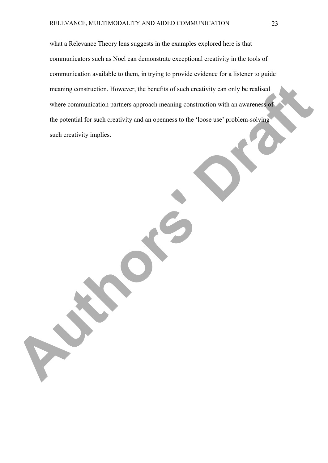what a Relevance Theory lens suggests in the examples explored here is that communicators such as Noel can demonstrate exceptional creativity in the tools of communication available to them, in trying to provide evidence for a listener to guide meaning construction. However, the benefits of such creativity can only be realised where communication partners approach meaning construction with an awareness of the potential for such creativity and an openness to the 'loose use' problem-solving such creativity implies.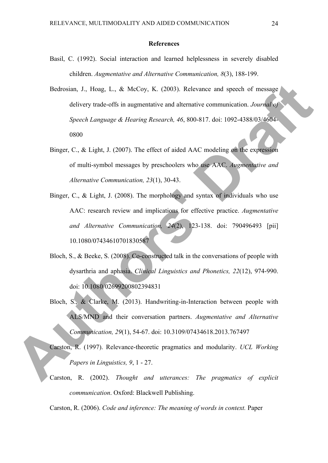#### **References**

- Basil, C. (1992). Social interaction and learned helplessness in severely disabled children. *Augmentative and Alternative Communication, 8*(3), 188-199.
- Bedrosian, J., Hoag, L., & McCoy, K. (2003). Relevance and speech of message delivery trade-offs in augmentative and alternative communication. *Journal of Speech Language & Hearing Research, 46*, 800-817. doi: 1092-4388/03/4604- 0800
- Binger, C., & Light, J. (2007). The effect of aided AAC modeling on the expression of multi-symbol messages by preschoolers who use AAC. *Augmentative and Alternative Communication, 23*(1), 30-43.
- Binger, C., & Light, J. (2008). The morphology and syntax of individuals who use AAC: research review and implications for effective practice. *Augmentative and Alternative Communication, 24*(2), 123-138. doi: 790496493 [pii] 10.1080/07434610701830587
- Bloch, S., & Beeke, S. (2008). Co-constructed talk in the conversations of people with dysarthria and aphasia. *Clinical Linguistics and Phonetics, 22*(12), 974-990. doi: 10.1080/02699200802394831
- Bloch, S., & Clarke, M. (2013). Handwriting-in-Interaction between people with ALS/MND and their conversation partners. *Augmentative and Alternative Communication, 29*(1), 54-67. doi: 10.3109/07434618.2013.767497
- Carston, R. (1997). Relevance-theoretic pragmatics and modularity. *UCL Working Papers in Linguistics, 9*, 1 - 27.
- Carston, R. (2002). *Thought and utterances: The pragmatics of explicit communication*. Oxford: Blackwell Publishing.

Carston, R. (2006). *Code and inference: The meaning of words in context.* Paper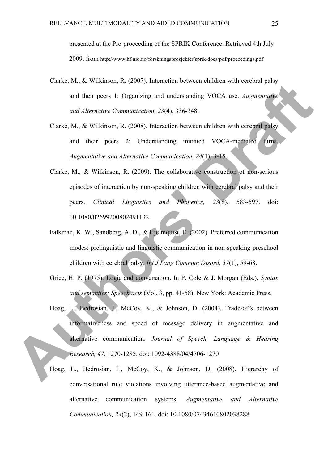presented at the Pre-proceeding of the SPRIK Conference. Retrieved 4th July 2009, from http://www.hf.uio.no/forskningsprosjekter/sprik/docs/pdf/proceedings.pdf

- Clarke, M., & Wilkinson, R. (2007). Interaction between children with cerebral palsy and their peers 1: Organizing and understanding VOCA use. *Augmentative and Alternative Communication, 23*(4), 336-348.
- Clarke, M., & Wilkinson, R. (2008). Interaction between children with cerebral palsy and their peers 2: Understanding initiated VOCA-mediated turns. *Augmentative and Alternative Communication, 24*(1), 3-15.
- Clarke, M., & Wilkinson, R. (2009). The collaborative construction of non-serious episodes of interaction by non-speaking children with cerebral palsy and their peers. *Clinical Linguistics and Phonetics, 23*(8), 583-597. doi: 10.1080/02699200802491132
- Falkman, K. W., Sandberg, A. D., & Hjelmquist, E. (2002). Preferred communication modes: prelinguistic and linguistic communication in non-speaking preschool children with cerebral palsy. *Int J Lang Commun Disord, 37*(1), 59-68.
- Grice, H. P. (1975). Logic and conversation. In P. Cole & J. Morgan (Eds.), *Syntax and semantics: Speech acts* (Vol. 3, pp. 41-58). New York: Academic Press.
- Hoag, L., Bedrosian, J., McCoy, K., & Johnson, D. (2004). Trade-offs between informativeness and speed of message delivery in augmentative and alternative communication. *Journal of Speech, Language & Hearing Research, 47*, 1270-1285. doi: 1092-4388/04/4706-1270
- Hoag, L., Bedrosian, J., McCoy, K., & Johnson, D. (2008). Hierarchy of conversational rule violations involving utterance-based augmentative and alternative communication systems. *Augmentative and Alternative Communication, 24*(2), 149-161. doi: 10.1080/07434610802038288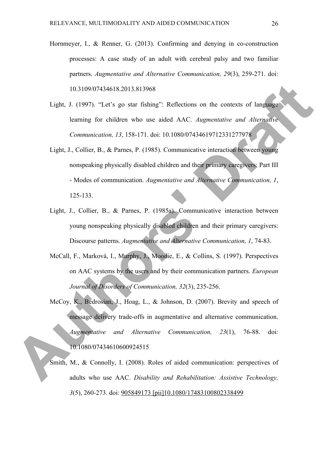- Hornmeyer, I., & Renner, G. (2013). Confirming and denying in co-construction processes: A case study of an adult with cerebral palsy and two familiar partners. *Augmentative and Alternative Communication, 29*(3), 259-271. doi: 10.3109/07434618.2013.813968
- Light, J. (1997). "Let's go star fishing": Reflections on the contexts of language learning for children who use aided AAC. *Augmentative and Alternative Communication, 13*, 158-171. doi: 10.1080/07434619712331277978
- Light, J., Collier, B., & Parnes, P. (1985). Communicative interaction between young nonspeaking physically disabled children and their primary caregivers: Part III - Modes of communication. *Augmentative and Alternative Communication, 1*, 125-133.
- Light, J., Collier, B., & Parnes, P. (1985a). Communicative interaction between young nonspeaking physically disabled children and their primary caregivers: Discourse patterns. *Augmentative and Alternative Communication, 1*, 74-83.
- McCall, F., Marková, I., Murphy, J., Moodie, E., & Collins, S. (1997). Perspectives on AAC systems by the users and by their communication partners. *European Journal of Disorders of Communication, 32*(3), 235-256.
- McCoy, K., Bedrosian, J., Hoag, L., & Johnson, D. (2007). Brevity and speech of message delivery trade-offs in augmentative and alternative communication. *Augmentative and Alternative Communication, 23*(1), 76-88. doi: 10.1080/07434610600924515
- Smith, M., & Connolly, I. (2008). Roles of aided communication: perspectives of adults who use AAC. *Disability and Rehabilitation: Assistive Technology, 3*(5), 260-273. doi: 905849173 [pii]10.1080/17483100802338499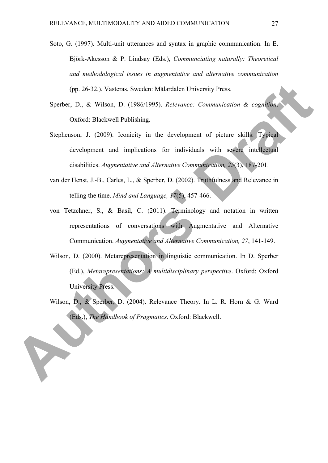- Soto, G. (1997). Multi-unit utterances and syntax in graphic communication. In E. Björk-Akesson & P. Lindsay (Eds.), *Communciating naturally: Theoretical and methodological issues in augmentative and alternative communication* (pp. 26-32.). Västeras, Sweden: Mälardalen University Press.
- Sperber, D., & Wilson, D. (1986/1995). *Relevance: Communication & cognition*. Oxford: Blackwell Publishing.
- Stephenson, J. (2009). Iconicity in the development of picture skills: Typical development and implications for individuals with severe intellectual disabilities. *Augmentative and Alternative Communication, 25*(3), 187-201.
- van der Henst, J.-B., Carles, L., & Sperber, D. (2002). Truthfulness and Relevance in telling the time. *Mind and Language, 17*(5), 457-466.
- von Tetzchner, S., & Basil, C. (2011). Terminology and notation in written representations of conversations with Augmentative and Alternative Communication. *Augmentative and Alternative Communication, 27*, 141-149.
- Wilson, D. (2000). Metarepresentation in linguistic communication. In D. Sperber (Ed.), *Metarepresentations: A multidisciplinary perspective*. Oxford: Oxford University Press.
- Wilson, D., & Sperber, D. (2004). Relevance Theory. In L. R. Horn & G. Ward (Eds.), *The Handbook of Pragmatics*. Oxford: Blackwell.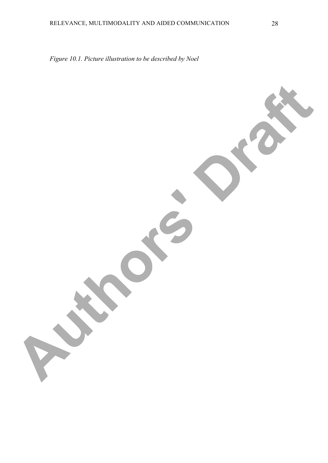*Figure 10.1. Picture illustration to be described by Noel*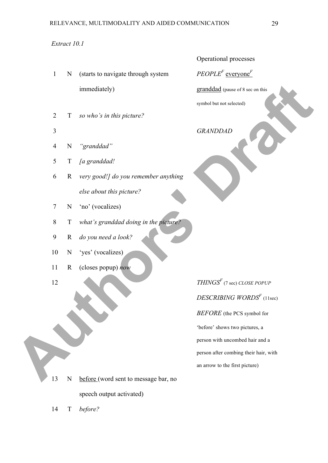# *Extract 10.1*

- 1 N (starts to navigate through system immediately)
- 2 T *so who's in this picture?*
- 
- 4 N *"granddad"*

5 T *[a granddad!*

- 6 R *very good!] do you remember anything else about this picture?*
- 7 N 'no' (vocalizes)
- 8 T *what's granddad doing in the picture?*
- 9 R *do you need a look?*
- 10 N 'yes' (vocalizes)
- 11 R (closes popup) *now*
- 

12 *THINGS<sup>F</sup>* (7 sec) *CLOSE POPUP DESCRIBING WORDS<sup>F</sup>* (11sec) *BEFORE* (the PCS symbol for 'before' shows two pictures, a person with uncombed hair and a person after combing their hair, with an arrow to the first picture)

13 N before (word sent to message bar, no speech output activated)

14 T *before?*

Operational processes

*PEOPLE<sup>F</sup>* everyone*<sup>F</sup>*

granddad (pause of 8 sec on this

symbol but not selected)

3 *GRANDDAD*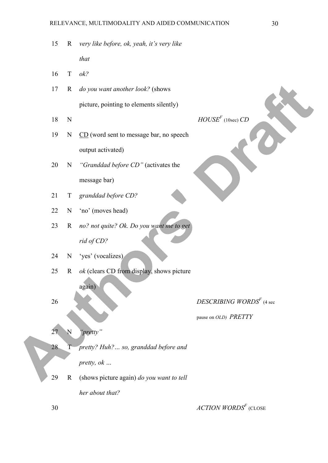- 15 R *very like before, ok, yeah, it's very like that*
- 16 T *ok?*
- 17 R *do you want another look?* (shows picture, pointing to elements silently)
- 18 N *HOUSEF* (10sec) *CD*
- 19 N CD (word sent to message bar, no speech output activated)
- 20 N *"Granddad before CD"* (activates the message bar)
- 21 T *granddad before CD?*
- 22 N 'no' (moves head)
- 23 R *no? not quite? Ok. Do you want me to get rid of CD?*
- 24 N 'yes' (vocalizes)
- 25 R *ok* (clears CD from display, shows picture again)

# 26 *DESCRIBING WORDS<sup>F</sup>* (4 sec

pause on *OLD) PRETTY*

- 27 N *"pretty"*
- 28 T *pretty? Huh?… so, granddad before and*

*pretty, ok …*

29 R (shows picture again) *do you want to tell* 

*her about that?*

30 *ACTION WORDSF* (CLOSE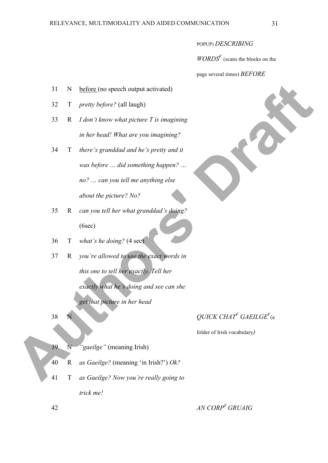POPUP) *DESCRIBING* 

 $WORDS<sup>F</sup>$  (scans the blocks on the

page several times) *BEFORE*

- 31 N before (no speech output activated)
- 32 T *pretty before?* (all laugh)
- 33 R *I don't know what picture T is imagining in her head! What are you imagining?*
- 34 T *there's granddad and he's pretty and it was before … did something happen? … no? … can you tell me anything else about the picture? No?*
- 35 R *can you tell her what granddad's doing?*  (6sec)
- 36 T *what's he doing?* (4 sec)
- 37 R *you're allowed to use the exact words in this one to tell her exactly. Tell her exactly what he's doing and see can she*

*get that picture in her head*

# 38 N *QUICK CHAT<sup>F</sup> GAEILGEF* (a

folder of Irish vocabulary*)*

- 
- 39 N *"gaeilge"* (meaning Irish)
- 40 R *as Gaeilge?* (meaning 'in Irish?') *Ok?*
- 41 T *as Gaeilge? Now you're really going to trick me!*



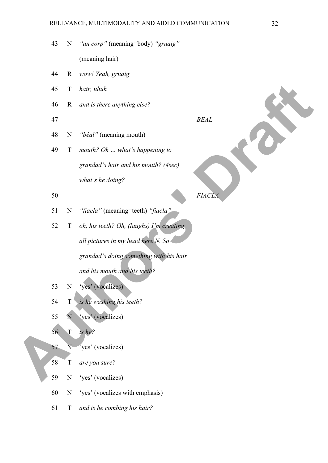- N *"an corp"* (meaning=body) *"gruaig"*  (meaning hair)
- R *wow! Yeah, gruaig*
- T *hair, uhuh*
- R *and is there anything else?*
- 

*BEAL*

- N *"béal"* (meaning mouth)
- T *mouth? Ok … what's happening to grandad's hair and his mouth? (4sec) what's he doing?*

*FIACLA*

- N *"fiacla"* (meaning=teeth) *"fiacla"*
- T *oh, his teeth? Oh, (laughs) I'm creating all pictures in my head here N. So grandad's doing something with his hair and his mouth and his teeth?*
- N 'yes' (vocalizes)
- T *is he washing his teeth?*
- N 'yes' (vocalizes)
- T *is he?*
- N 'yes' (vocalizes)
- T *are you sure?*
- N 'yes' (vocalizes)
- N 'yes' (vocalizes with emphasis)
- T *and is he combing his hair?*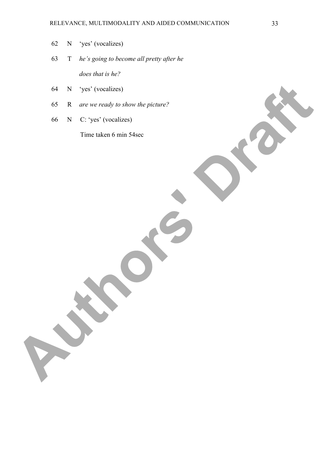- N 'yes' (vocalizes)
- T *he's going to become all pretty after he does that is he?*
- N 'yes' (vocalizes)
- R *are we ready to show the picture?*
- N C: 'yes' (vocalizes)

Time taken 6 min 54sec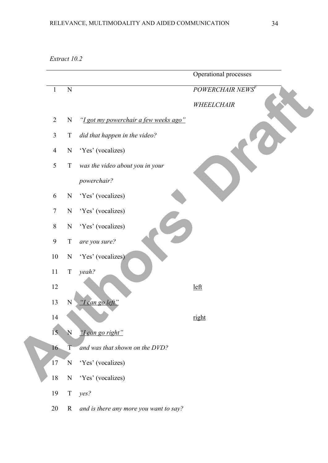# *Extract 10.2*

|                  |             |                                        | Operational processes |
|------------------|-------------|----------------------------------------|-----------------------|
| $\mathbf{1}$     | ${\bf N}$   |                                        | POWERCHAIR NEWSF      |
|                  |             |                                        | WHEELCHAIR            |
| $\overline{2}$   | N           | "I got my powerchair a few weeks ago"  |                       |
| $\mathfrak{Z}$   | $\mathbf T$ | did that happen in the video?          |                       |
| $\overline{4}$   | $\mathbf N$ | 'Yes' (vocalizes)                      |                       |
| $\mathfrak{S}$   | $\mathbf T$ | was the video about you in your        |                       |
|                  |             | powerchair?                            |                       |
| 6                | N           | 'Yes' (vocalizes)                      |                       |
| $\tau$           | $\mathbf N$ | 'Yes' (vocalizes)                      |                       |
| $\,8\,$          | $\mathbf N$ | 'Yes' (vocalizes)                      |                       |
| $\boldsymbol{9}$ | $\mathbf T$ | are you sure?                          |                       |
| $10\,$           | ${\bf N}$   | 'Yes' (vocalizes)                      |                       |
| 11               | $\mathbf T$ | yeah?                                  |                       |
| 12               |             |                                        | left                  |
| 13               | N           | "I can go left"                        |                       |
| 14               |             |                                        | right                 |
| 15 <sub>1</sub>  | N           | "I can go right"                       |                       |
| 16               | T           | and was that shown on the DVD?         |                       |
| 17               | ${\bf N}$   | 'Yes' (vocalizes)                      |                       |
| $18\,$           | ${\bf N}$   | 'Yes' (vocalizes)                      |                       |
| 19               | $\mathbf T$ | yes?                                   |                       |
| $20\,$           | $\mathbf R$ | and is there any more you want to say? |                       |